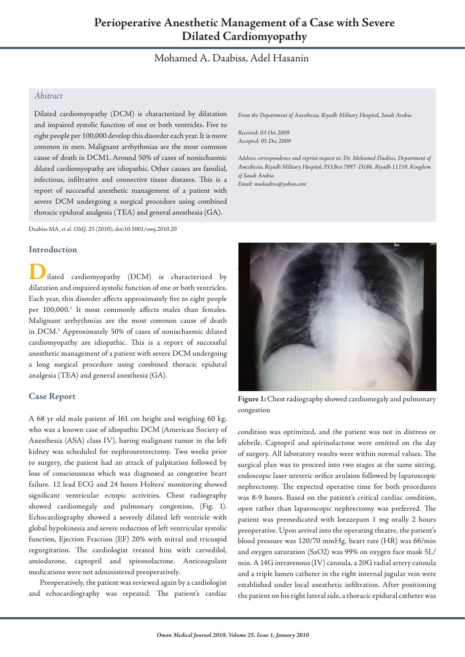# Mohamed A. Daabiss, Adel Hasanin

# *Abstract*

Dilated cardiomyopathy (DCM) is characterized by dilatation and impaired systolic function of one or both ventricles. Five to eight people per 100,000 develop this disorder each year.It is more common in men. Malignant arrhythmias are the most common cause of death in DCM1. Around 50% of cases of nonischaemic dilated cardiomyopathy are idiopathic. Other causes are familial, infectious, infiltrative and connective tissue diseases. This is a report of successful anesthetic management of a patient with severe DCM undergoing a surgical procedure using combined thoracic epidural analgesia (TEA) and general anesthesia (GA).

Daabiss MA, *et al. OMJ.* 25 (2010); doi:10.5001/omj.2010.20

### **Introduction**

ilated cardiomyopathy (DCM) is characterized by dilatation and impaired systolic function of one or both ventricles. Each year, this disorder affects approximately five to eight people per 100,000. <sup>1</sup> It most commonly affects males than females. Malignant arrhythmias are the most common cause of death in DCM. <sup>1</sup> Approximately 50% of cases of nonischaemic dilated cardiomyopathy are idiopathic. This is a report of successful anesthetic management of a patient with severe DCM undergoing a long surgical procedure using combined thoracic epidural analgesia (TEA) and general anesthesia (GA).

## **Case Report**

A 68 yr old male patient of 161 cm height and weighing 60 kg, who was a known case of idiopathic DCM (American Society of Anesthesia (ASA) class IV), having malignant tumor in the left kidney was scheduled for nephroureterctomy. Two weeks prior to surgery, the patient had an attack of palpitation followed by loss of consciousness which was diagnosed as congestive heart failure. 12 lead ECG and 24 hours Holters' monitoring showed significant ventricular ectopic activities. Chest radiography showed cardiomegaly and pulmonary congestion, (Fig. 1). Echocardiography showed a severely dilated left ventricle with global hypokinesia and severe reduction of left ventricular systolic function, Ejection Fraction (EF) 20% with mitral and tricuspid regurgitation. The cardiologist treated him with carvedilol, amiodarone, captopril and spironolactone. Anticoagulant medications were not administered preoperatively.

Preoperatively, the patient was reviewed again by a cardiologist and echocardiography was repeated. The patient's cardiac *From the Department of Anesthesia, Riyadh Military Hospital, Saudi Arabia*

*Received: 03 Oct 2009 Accepted: 05 Dec 2009*

*Address correspondence and reprint request to: Dr. Mohamed Daabiss, Department of Anesthesia, Riyadh Military Hospital, P.O.Box 7897- D186, Riyadh 11159, Kingdom of Saudi Arabia*

*Email: madaabiss@yahoo.com*



**Figure 1:** Chest radiography showed cardiomegaly and pulmonary congestion

condition was optimized, and the patient was not in distress or afebrile. Captopril and spirinolactone were omitted on the day of surgery. All laboratory results were within normal values. The surgical plan was to proceed into two stages at the same sitting, endoscopic laser ureteric orifice avulsion followed by laparoscopic nephrectomy. The expected operative time for both procedures was 8-9 hours. Based on the patient's critical cardiac condition, open rather than laparoscopic nephrectomy was preferred. The patient was premedicated with lorazepam 1 mg orally 2 hours preoperative. Upon arrival into the operating theatre, the patient's blood pressure was 120/70 mmHg, heart rate (HR) was 66/min and oxygen saturation (SaO2) was 99% on oxygen face mask 5L/ min. A 14G intravenous (IV) cannula, a 20G radial artery cannula and a triple lumen catheter in the right internal jugular vein were established under local anesthetic infiltration. After positioning the patient on his right lateral side, a thoracic epidural catheter was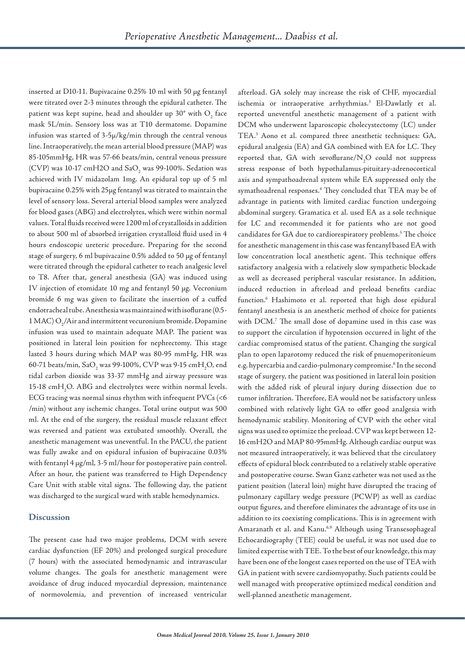inserted at D10-11. Bupivacaine 0.25% 10 ml with 50 μg fentanyl were titrated over 2-3 minutes through the epidural catheter. The patient was kept supine, head and shoulder up  $30^{\circ}$  with  $O<sub>2</sub>$  face mask 5L/min. Sensory loss was at T10 dermatome. Dopamine infusion was started of 3-5μ/kg/min through the central venous line. Intraoperatively, the mean arterial blood pressure (MAP) was 85-105mmHg, HR was 57-66 beats/min, central venous pressure (CVP) was  $10-17$  cmH2O and SaO<sub>2</sub> was 99-100%. Sedation was achieved with IV midazolam 1mg. An epidural top up of 5 ml bupivacaine 0.25% with 25μg fentanyl was titrated to maintain the level of sensory loss. Several arterial blood samples were analyzed for blood gases (ABG) and electrolytes, which were within normal values. Total fluids received were 1200 ml of crystalloids in addition to about 500 ml of absorbed irrigation crystalloid fluid used in 4 hours endoscopic ureteric procedure. Preparing for the second stage of surgery, 6 ml bupivacaine 0.5% added to 50 μg of fentanyl were titrated through the epidural catheter to reach analgesic level to T8. After that, general anesthesia (GA) was induced using IV injection of etomidate 10 mg and fentanyl 50 μg. Vecronium bromide 6 mg was given to facilitate the insertion of a cuffed endotracheal tube. Anesthesia was maintained with isoflurane (0.5-  $1\,\mathrm{MAC}$ )  $\mathrm{O}_2$ /Air and intermittent vecuronium bromide. Dopamine infusion was used to maintain adequate MAP. The patient was positioned in lateral loin position for nephrectomy. This stage lasted 3 hours during which MAP was 80-95 mmHg, HR was 60-71 beats/min, Sa $\text{O}_\text{2}$  was 99-100%, CVP was 9-15 cmH<sub>2</sub>O, end tidal carbon dioxide was 33-37 mmHg and airway pressure was 15-18  $\text{cmH}_{2}$ O. ABG and electrolytes were within normal levels. ECG tracing was normal sinus rhythm with infrequent PVCs (<6 /min) without any ischemic changes. Total urine output was 500 ml. At the end of the surgery, the residual muscle relaxant effect was reversed and patient was extubated smoothly. Overall, the anesthetic management was uneventful. In the PACU, the patient was fully awake and on epidural infusion of bupivacaine 0.03% with fentanyl 4 μg/ml, 3-5 ml/hour for postoperative pain control. After an hour, the patient was transferred to High Dependency Care Unit with stable vital signs. The following day, the patient was discharged to the surgical ward with stable hemodynamics.

#### **Discussion**

The present case had two major problems, DCM with severe cardiac dysfunction (EF 20%) and prolonged surgical procedure (7 hours) with the associated hemodynamic and intravascular volume changes. The goals for anesthetic management were avoidance of drug induced myocardial depression, maintenance of normovolemia, and prevention of increased ventricular

afterload. GA solely may increase the risk of CHF, myocardial ischemia or intraoperative arrhythmias. <sup>3</sup> El-Dawlatly et al. reported uneventful anesthetic management of a patient with DCM who underwent laparoscopic cholecystectomy (LC) under TEA. <sup>3</sup> Aono et al. compared three anesthetic techniques: GA, epidural analgesia (EA) and GA combined with EA for LC. They reported that, GA with sevoflurane/ $N_2O$  could not suppress stress response of both hypothalamus-pituitary-adrenocortical axis and sympathoadrenal system while EA suppressed only the symathoadrenal responses. <sup>4</sup> They concluded that TEA may be of advantage in patients with limited cardiac function undergoing abdominal surgery. Gramatica et al. used EA as a sole technique for LC and recommended it for patients who are not good candidates for GA due to cardiorespiratory problems. <sup>5</sup> The choice for anesthetic management in this case was fentanyl based EA with low concentration local anesthetic agent. This technique offers satisfactory analgesia with a relatively slow sympathetic blockade as well as decreased peripheral vascular resistance. In addition, induced reduction in afterload and preload benefits cardiac function. <sup>6</sup> Hashimoto et al. reported that high dose epidural fentanyl anesthesia is an anesthetic method of choice for patients with DCM. <sup>7</sup> The small dose of dopamine used in this case was to support the circulation if hypotension occurred in light of the cardiac compromised status of the patient. Changing the surgical plan to open laparotomy reduced the risk of pnuemoperitonieum e.g. hypercarbia and cardio-pulmonary compromise. <sup>8</sup> In the second stage of surgery, the patient was positioned in lateral loin position with the added risk of pleural injury during dissection due to tumor infiltration. Therefore, EA would not be satisfactory unless combined with relatively light GA to offer good analgesia with hemodynamic stability. Monitoring of CVP with the other vital signs was used to optimize the preload. CVP was kept between 12- 16 cmH2O and MAP 80-95mmHg. Although cardiac output was not measured intraoperatively, it was believed that the circulatory effects of epidural block contributed to a relatively stable operative and postoperative course. Swan Ganz catheter was not used as the patient position (lateral loin) might have disrupted the tracing of pulmonary capillary wedge pressure (PCWP) as well as cardiac output figures, and therefore eliminates the advantage of its use in addition to its coexisting complications. This is in agreement with Amaranath et al. and Kanu. 6,9 Although using Transesophageal Echocardiography (TEE) could be useful, it was not used due to limited expertise with TEE. To the best of our knowledge, this may have been one of the longest cases reported on the use of TEA with GA in patient with severe cardiomyopathy. Such patients could be well managed with preoperative optimized medical condition and well-planned anesthetic management.